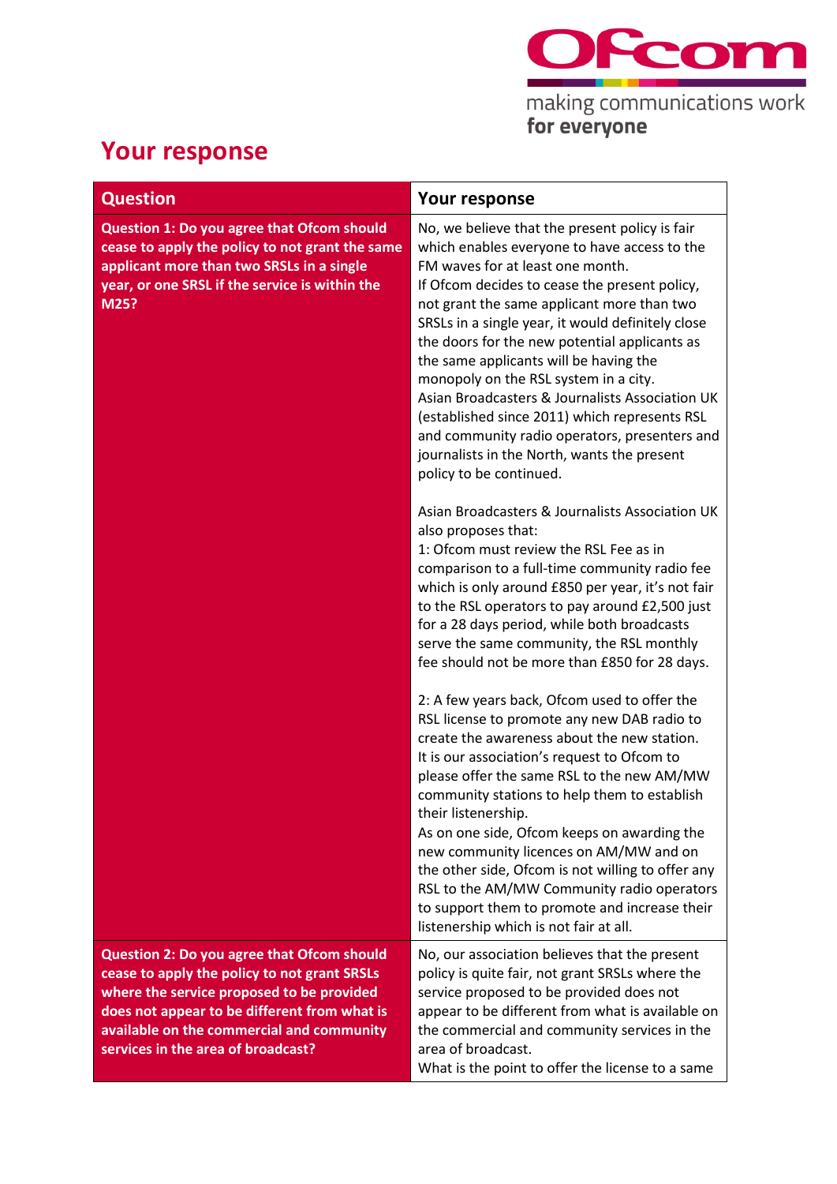

**Your response**

| <b>Question</b>                                                                                                                                                                                                                                                                   | <b>Your response</b>                                                                                                                                                                                                                                                                                                                                                                                                                                                                                                                                                                                                                                      |
|-----------------------------------------------------------------------------------------------------------------------------------------------------------------------------------------------------------------------------------------------------------------------------------|-----------------------------------------------------------------------------------------------------------------------------------------------------------------------------------------------------------------------------------------------------------------------------------------------------------------------------------------------------------------------------------------------------------------------------------------------------------------------------------------------------------------------------------------------------------------------------------------------------------------------------------------------------------|
| Question 1: Do you agree that Ofcom should<br>cease to apply the policy to not grant the same<br>applicant more than two SRSLs in a single<br>year, or one SRSL if the service is within the<br>M25?                                                                              | No, we believe that the present policy is fair<br>which enables everyone to have access to the<br>FM waves for at least one month.<br>If Ofcom decides to cease the present policy,<br>not grant the same applicant more than two<br>SRSLs in a single year, it would definitely close<br>the doors for the new potential applicants as<br>the same applicants will be having the<br>monopoly on the RSL system in a city.<br>Asian Broadcasters & Journalists Association UK<br>(established since 2011) which represents RSL<br>and community radio operators, presenters and<br>journalists in the North, wants the present<br>policy to be continued. |
|                                                                                                                                                                                                                                                                                   | Asian Broadcasters & Journalists Association UK<br>also proposes that:<br>1: Ofcom must review the RSL Fee as in<br>comparison to a full-time community radio fee<br>which is only around £850 per year, it's not fair<br>to the RSL operators to pay around £2,500 just<br>for a 28 days period, while both broadcasts<br>serve the same community, the RSL monthly<br>fee should not be more than £850 for 28 days.                                                                                                                                                                                                                                     |
|                                                                                                                                                                                                                                                                                   | 2: A few years back, Ofcom used to offer the<br>RSL license to promote any new DAB radio to<br>create the awareness about the new station.<br>It is our association's request to Ofcom to<br>please offer the same RSL to the new AM/MW<br>community stations to help them to establish<br>their listenership.<br>As on one side, Ofcom keeps on awarding the<br>new community licences on AM/MW and on<br>the other side, Ofcom is not willing to offer any<br>RSL to the AM/MW Community radio operators<br>to support them to promote and increase their<br>listenership which is not fair at all.                                                     |
| <b>Question 2: Do you agree that Ofcom should</b><br>cease to apply the policy to not grant SRSLs<br>where the service proposed to be provided<br>does not appear to be different from what is<br>available on the commercial and community<br>services in the area of broadcast? | No, our association believes that the present<br>policy is quite fair, not grant SRSLs where the<br>service proposed to be provided does not<br>appear to be different from what is available on<br>the commercial and community services in the<br>area of broadcast.<br>What is the point to offer the license to a same                                                                                                                                                                                                                                                                                                                                |